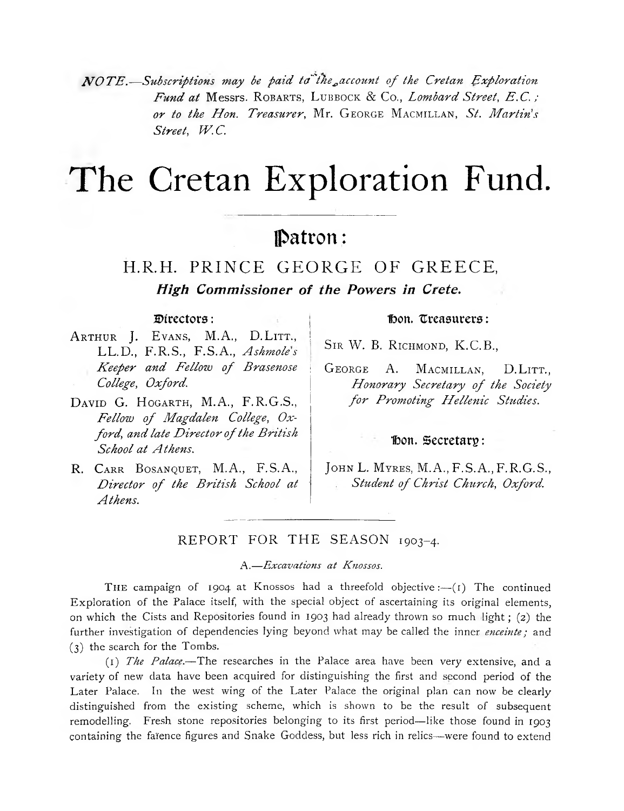*N O T E .— Subscriptions may be paid ta"the^account o f the Cretan Exploration Fund at* Messrs. ROBARTS, LUBBOCK & Co., *Lombard Street*, *E.C.*; or to the Hon. Treasurer, Mr. GEORGE MACMILLAN, St. Martin's *Street*, *W. C.*

# The Cretan Exploration Fund.

## Patron :

# **H.R.H. PRINCE GEORGE OF GREECE,** *High Commissioner of the Powers in Crete*.

#### directors : j

- ARTHUR J. EVANS, M.A., D.LITT., LL.D., F.R.S., F.S.A., Ashmole's *Keeper and Fellow of Brasenose College*, *Oxford.*
- DAVID G. HOGARTH, M.A., F.R.G.S., Fellow of Magdalen College, Oxford, and late Director of the British *School at Athens.*
- R. CARR BOSANQUET, M.A., F.S.A.,  $Director$  of the British School at *Athens.*

#### 1bon. treasurers :

SIR W. B. RICHMOND, K.C.B.,

GEORGE A. MACMILLAN, D.LITT. *Honorary Secretary of the Society for Promoting Hellenic Studies.* 

#### 1bon. Secretary:

JOHN L. MYRES, M.A., F.S.A., F.R.G.S., *Student of Christ Church, Oxford.* 

## REPORT FOR THE SEASON  $1903-4$ .

A *.—Excavations at Knossos.*

THE campaign of 1904 at Knossos had a threefold objective  $:-(1)$  The continued Exploration of the Palace itself, with the special object of ascertaining its original elements, on which the Cists and Repositories found in 1903 had already thrown so much light ; (2) the further investigation of dependencies lying beyond what may be called the inner *enceinte* ; and (3) the search for the Tombs.

(1) *The Palace*.—The researches in the Palace area have been very extensive, and a variety of new data have been acquired for distinguishing the first and second period of the Later Palace. In the west wing of the Later Palace the original plan can now be clearly distinguished from the existing scheme, which is shown to be the result of subsequent remodelling. Fresh stone repositories belonging to its first period—like those found in 1903 containing the faience figures and Snake Goddess, but less rich in relics—were found to extend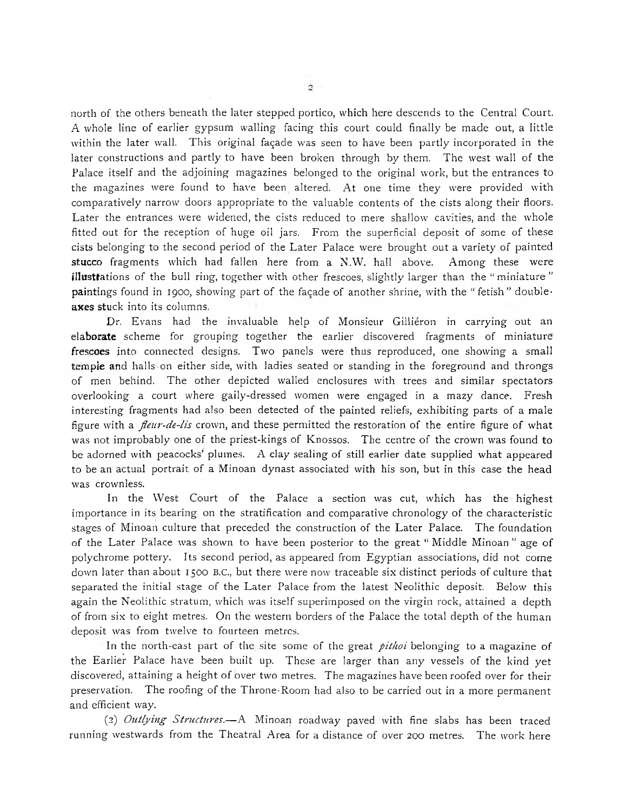north of the others beneath the later stepped portico, which here descends to the Central Court. A whole line of earlier gypsum walling facing this court could finally be made out, a little within the later wall. This original façade was seen to have been partly incorporated in the later constructions and partly to have been broken through by them. The west wall of the Palace itself and the adjoining magazines belonged to the original work, but the entrances to the magazines were found to have been altered. At one time they were provided with comparatively narrow doors appropriate to the valuable contents of the cists along their floors. Later the entrances were widened, the cists reduced to mere shallow cavities, and the whole fitted out for the reception of huge oil jars. From the superficial deposit of some of these cists belonging to the second period of the Later Palace were brought out a variety of painted stucco fragments which had fallen here from a N.W. hall above. Among these were illustrations of the bull ring, together with other frescoes, slightly larger than the " miniature " paintings found in 1900, showing part of the facade of another shrine, with the " fetish" doubleaxes stuck into its columns.

Dr. Evans had the invaluable help of Monsieur Gilliéron in carrying out an elaborate scheme for grouping together the earlier discovered fragments of miniature frescoes into connected designs. Two panels were thus reproduced, one showing a small temple and halls on either side, with ladies seated or standing in the foreground and throngs of men behind. The other depicted walled enclosures with trees and similar spectators overlooking a court where gaily-dressed women were engaged in a mazy dance. Fresh interesting fragments had also been detected of the painted reliefs, exhibiting parts of a male figure with a *flèur-de-lis* crown, and these permitted the restoration of the entire figure of what was not improbably one of the priest-kings of Knossos. The centre of the crown was found to be adorned with peacocks' plumes. A clay sealing of still earlier date supplied what appeared to be an actual portrait of a Minoan dynast associated with his son, but in this case the head was crownless.

In the West Court of the Palace a section was cut, which has the highest importance in its bearing on the stratification and comparative chronology of the characteristic stages of Minoan culture that preceded the construction of the Later Palace. The foundation of the Later Palace was shown to have been posterior to the great " Middle Minoan " age of polychrome pottery. Its second period, as appeared from Egyptian associations, did not come down later than about 1500 B.C., but there were now traceable six distinct periods of culture that separated the initial stage of the Later Palace from the latest Neolithic deposit. Below this again the Neolithic stratum, which was itself superimposed on the virgin rock, attained a depth of from six to eight metres. On the western borders of the Palace the total depth of the human deposit was from twelve to fourteen metres.

In the north-east part of the site some of the great *pithoi* belonging to a magazine of the Earlier Palace have been built up. These are larger than any vessels of the kind yet discovered, attaining a height of over two metres. The magazines have been roofed over for their preservation. The roofing of the Throne-Room had also to be carried out in a more permanent and efficient way.

(2) *Outlying Structures*.—A Minoan roadway paved with fine slabs has been traced running westwards from the Theatral Area for a distance of over 200 metres. The work here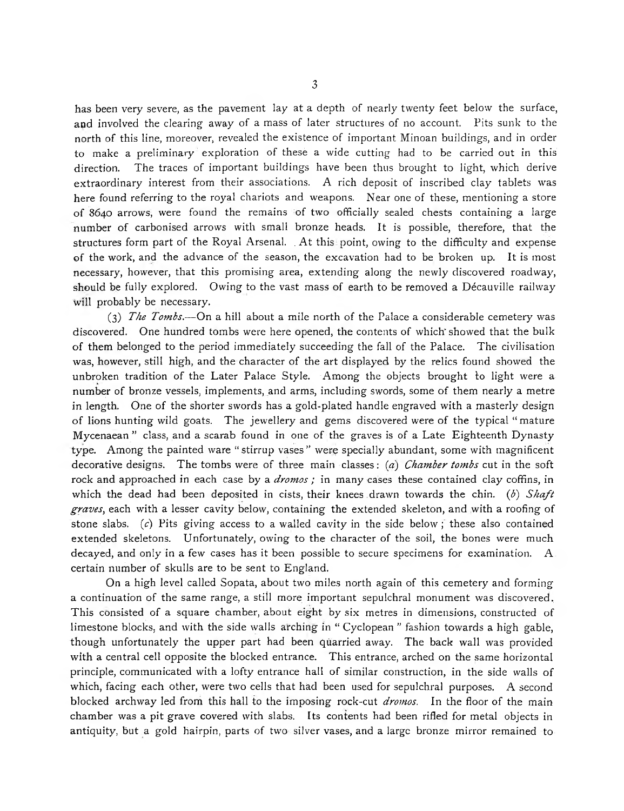has been very severe, as the pavement lay at a depth of nearly twenty feet below the surface, and involved the clearing away of a mass of later structures of no account. Pits sunk to the north of this line, moreover, revealed the existence of important Minoan buildings, and in order to make a preliminary exploration of these a wide cutting had to be carried out in this direction. The traces of important buildings have been thus brought to light, which derive extraordinary interest from their associations. A rich deposit of inscribed clay tablets was here found referring to the royal chariots and weapons. Near one of these, mentioning a store of 8640 arrows, were found the remains of two officially sealed chests containing a large number of carbonised arrows with small bronze heads. It is possible, therefore, that the structures form part of the Royal Arsenal. .At this point, owing to the difficulty and expense of the work, and the advance of the season, the excavation had to be broken up. It is most necessary, however, that this promising area, extending along the newly discovered roadway, should be fully explored. Owing to the vast mass of earth to be removed a Décauville railway will probably be necessary.

(3) *The Tombs*.—On a hill about a mile north of the Palace a considerable cemetery was discovered. One hundred tombs were here opened, the contents of which' showed that the bulk of them belonged to the period immediately succeeding the fall of the Palace. The civilisation was, however, still high, and the character of the art displayed by the relics found showed the unbroken tradition of the Later Palace Style. Among the objects brought to light were a number of bronze vessels, implements, and arms, including swords, some of them nearly a metre in length. One of the shorter swords has a gold-plated handle engraved with a masterly design of lions hunting wild goats. The jewellery and gems discovered were of the typical " mature Mycenaean " class, and a scarab found in one of the graves is of a Late Eighteenth Dynasty type. Among the painted ware " stirrup vases'' were specially abundant, some with magnificent decorative designs. The tombs were of three main classes: *(a) Chamber tombs* cut in the soft rock and approached in each case by a *dromos* ; in many cases these contained clay coffins, in which the dead had been deposited in cists, their knees drawn towards the chin. (b) Shaft *graves*, each with a lesser cavity below, containing the extended skeleton, and with a roofing of stone slabs. (*c)* Pits giving access to a walled cavity in the side below ; these also contained extended skeletons. Unfortunately, owing to the character of the soil, the bones were much decayed, and only in a few cases has it been possible to secure specimens for examination. A certain number of skulls are to be sent to England.

On a high level called Sopata, about two miles north again of this cemetery and forming a continuation of the same range, a still more important sepulchral monument was discovered. This consisted of a square chamber, about eight by six metres in dimensions, constructed of limestone blocks, and with the side walls arching in " Cyclopean " fashion towards a high gable, though unfortunately the upper part had been qüarried away. The back wall was provided with a central cell opposite the blocked entrance. This entrance, arched on the same horizontal principle, communicated with a lofty entrance hall of similar construction, in the side walls of which, facing each other, were two cells that had been used for sepulchral purposes. A second blocked archway led from this hall to the imposing rock-cut *dromos.* In the floor of the main chamber was a pit grave covered with slabs. Its contents had been rifled for metal objects in antiquity, but a gold hairpin, parts of two silver vases, and a large bronze mirror remained to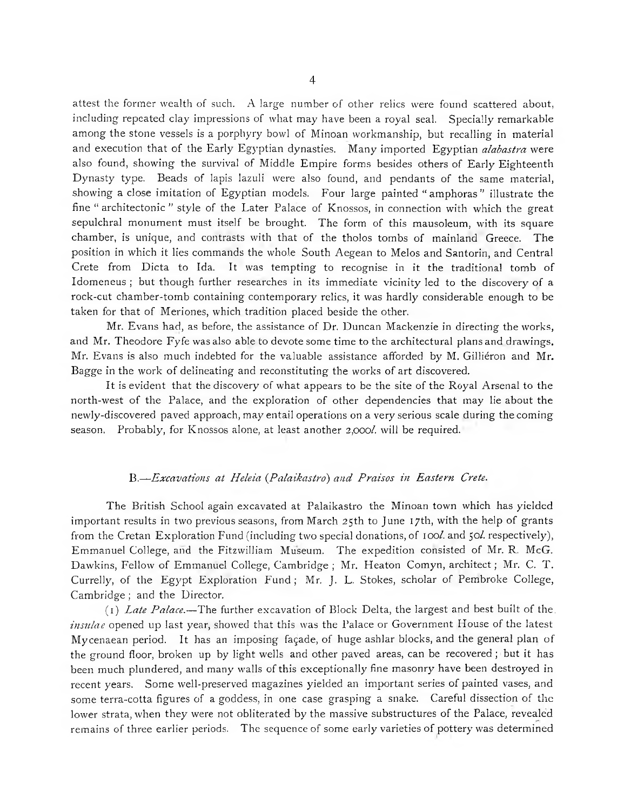attest the former wealth of such. A large number of other relics were found scattered about, including repeated clay impressions of what may have been a royal seal. Specially remarkable among the stone vessels is a porphyry bowl of Minoan workmanship, but recalling in material and execution that of the Early Egyptian dynasties. Many imported Egyptian *alabastra* were also found, showing the survival of Middle Empire forms besides others of Early Eighteenth Dynasty type. Beads of lapis lazuli were also found, and pendants of the same material, showing a close imitation of Egyptian models. Four large painted "amphoras" illustrate the fine " architectonic " style of the Later Palace of Knossos, in connection with which the great sepulchral monument must itself be brought. The form of this mausoleum, with its square chamber, is unique, and contrasts with that of the tholos tombs of mainland Greece. The position in which it lies commands the whole South Aegean to Melos and Santorin, and Central Crete from Dicta to Ida. It was tempting to recognise in it the traditional tomb of Idomeneus ; but though further researches in its immediate vicinity led to the discovery of a rock-cut chamber-tomb containing contemporary relics, it was hardly considerable enough to be taken for that of Meriones, which tradition placed beside the other.

Mr. Evans had, as before, the assistance of Dr. Duncan Mackenzie in directing the works, and Mr. Theodore Fyfe was also able to devote some time to the architectural plans and drawings. Mr. Evans is also much indebted for the valuable assistance afforded by M. Gilliéron and Mr. Bagge in the work of delineating and reconstituting the works of art discovered.

It is evident that the discovery of what appears to be the site of the Royal Arsenal to the north-west of the Palace, and the exploration of other dependencies that may lie about the newly-discovered paved approach, may entail operations on a very serious scale during the coming season. Probably, for Knossos alone, at least another 2,000/. will be required.

#### B *.—Excavations at Heleia* (*Palaikastro*) *and Praisos in Eastern Crete.*

The British School again excavated at Palaikastro the Minoan town which has yielded important results in two previous seasons, from March 25th to June 17th, with the help of grants from the Cretan Exploration Fund (including two special donations, of 100l. and 50l. respectively), Emmanuel College, and the Fitzwilliam Museum. The expedition consisted of Mr. R. McG. Dawkins, Fellow of Emmanuel College, Cambridge ; Mr. Heaton Comyn, architect ; Mr. C. T. Currelly, of the Egypt Exploration Fund ; Mr. J. L. Stokes, scholar of Pembroke College, Cambridge ; and the Director.

(1) *Late Palace*.—The further excavation of Block Delta, the largest and best built of the. *insulae* opened up last year, showed that this was the Palace or Government House of the latest Mycenaean period. It has an imposing façade, of huge ashlar blocks, and the general plan of the ground floor, broken up by light wells and other paved areas, can be recovered ; but it has been much plundered, and many walls of this exceptionally fine masonry have been destroyed in recent years. Some well-preserved magazines yielded an important series of painted vases, and some terra-cotta figures of a goddess, in one case grasping a snake. Careful dissection of the lower strata, when they were not obliterated by the massive substructures of the Palace, revealed remains of three earlier periods. The sequence of some early varieties of pottery was determined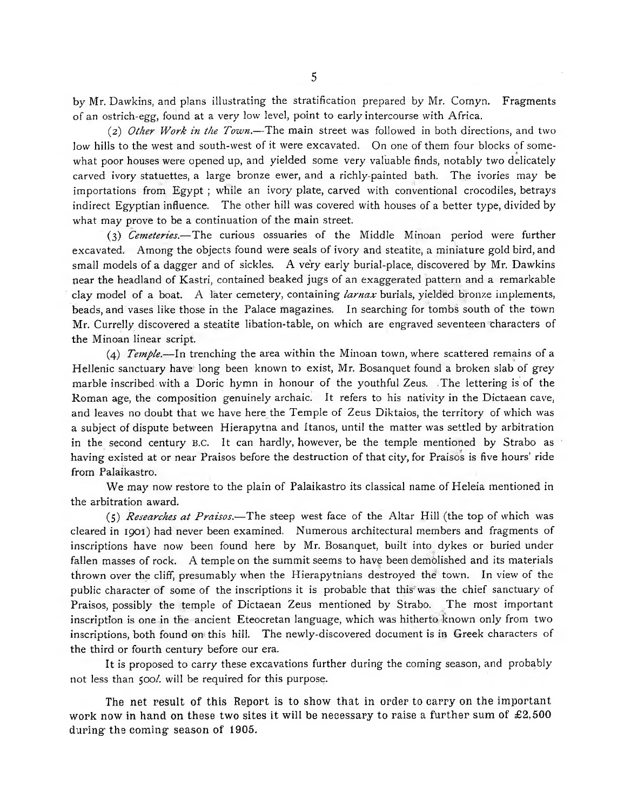by Mr. Dawkins, and plans illustrating the stratification prepared by Mr. Comyn. Fragments of an ostrich-egg, found at a very low level, point to early intercourse with Africa.

(2) *Other Work in the Town*.—The main street was followed in both directions, and two low hills to the west and south-west of it were excavated. On one of them four blocks of somewhat poor houses were opened up, and yielded some very valuable finds, notably two delicately carved ivory statuettes, a large bronze ewer, and a richly-painted bath. The ivories may be importations from Egypt ; while an ivory plate, carved with conventional crocodiles, betrays indirect Egyptian influence. The other hill was covered with houses of a better type, divided by what may prove to be a continuation of the main street.

(3) *Cemeteries*.—The curious ossuaries of the Middle Minoan period were further excavated. Among the objects found were seals of ivory and steatite, a miniature gold bird, and small models of a dagger and of sickles. A very early burial-place, discovered by Mr. Dawkins near the headland of Kastri, contained beaked jugs of an exaggerated pattern and a remarkable clay model of a boat. A later cemetery, containing *larnax* burials, yielded bronze implements, beads, and vases like those in the Palace magazines. In searching for tombs south of the town Mr. Currelly discovered a steatite libation-table, on which are engraved seventeen characters of the Minoan linear script.

(4) *Temple*.— In trenching the area within the Minoan town, where scattered remains of a Hellenic sanctuary have long been known to exist, Mr. Bosanquet found a broken slab of grey marble inscribed with a Doric hymn in honour of the youthful Zeus. The lettering is of the Roman age, the composition genuinely archaic. It refers to his nativity in the Dictaean cave, and leaves no doubt that we have here the Temple of Zeus Diktaios, the territory of which was a subject of dispute between Hierapytna and Itanos, until the matter was settled by arbitration in the second century B.C. It can hardly, however, be the temple mentioned by Strabo as having existed at or near Praisos before the destruction of that city, for Praisos is five hours' ride from Palaikastro.

We may now restore to the plain of Palaikastro its classical name of Heleia mentioned in the arbitration award.

(5) *Researches at Praisos*.—The steep west face of the Altar Hill (the top of which was cleared in 1901) had never been examined. Numerous architectural members and fragments of inscriptions have now been found here by Mr. Bosanquet, built into dykes or buried under fallen masses of rock. A temple on the summit seems to have been demolished and its materials thrown over the clifif, presumably when the Hierapytnians destroyed the town. In view of the public character of some of the inscriptions it is probable that this was the chief sanctuary of Praisos, possibly the temple of Dictaean Zeus mentioned by Strabo. The most important inscription is one in the ancient Eteocretan language, which was hitherto known only from two inscriptions, both found on this hill. The newly-discovered document is in Greek characters of the third or fourth century before our era.

It is proposed to carry these excavations further during the coming season, and probably not less than 500/. will be required for this purpose.

The net result of this Report is to show that in order to carry on the important work now in hand on these two sites it will be necessary to raise a further sum of  $\pounds2,500$ during the coming season of 1905.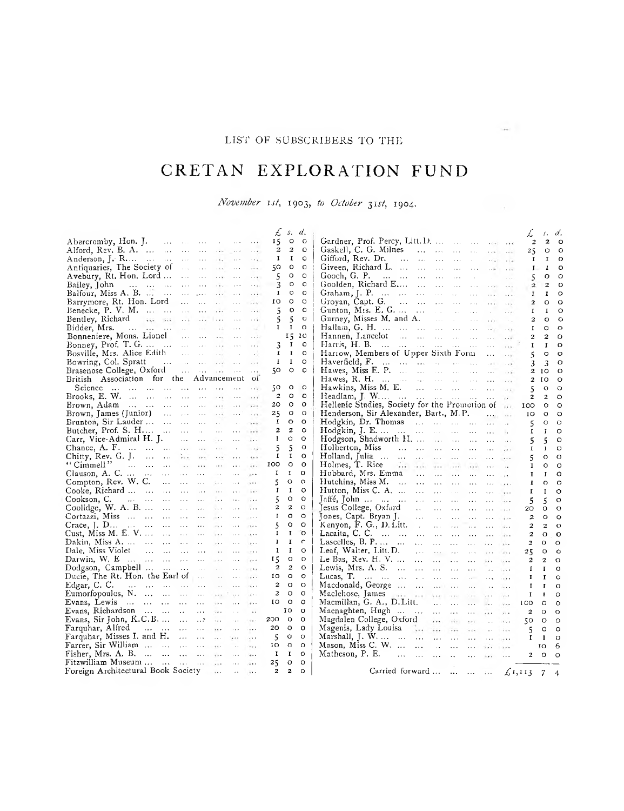### LIST OF SUBSCRIBERS TO THE

# CRETAN EXPLORATION FUND

November 1st, 1903, to October 31st, 1904.

|                                                                   |                                          |                                                           | £                | s. d.                         |                                                                                                                                               | $s$ . $\alpha'$ . |
|-------------------------------------------------------------------|------------------------------------------|-----------------------------------------------------------|------------------|-------------------------------|-----------------------------------------------------------------------------------------------------------------------------------------------|-------------------|
|                                                                   |                                          |                                                           | 15               | $\mathsf{O}$<br>$\circ$       | Gardner, Prof. Percy, Litt. D.<br>$\mathfrak{2}% =\mathfrak{2}\left( \mathfrak{2}\right) ^{2}$<br>$\mathbf{2}$                                | $\circ$           |
| Alford, Rev. B. A.                                                |                                          |                                                           | $\boldsymbol{z}$ | $\boldsymbol{2}$<br>$\circ$   | Gaskell, C. G. Milnes<br>25<br>$\mathbf O$<br>$1.14 - 1.14$                                                                                   | $\circ$           |
|                                                                   |                                          |                                                           | $\mathbf{I}$     | $\bf{I}$<br>$\circ$           | $\mathbf{I}$<br>$\mathbf I$<br>$\sim$                                                                                                         | $\circ$           |
| Antiquaries, The Society of                                       |                                          | $\cdots$                                                  | 50               | $\mathbf O$<br>$\circ$        | Giveen, Richard L.<br>$\mathbf{I}$<br>Ι.<br>$\ddotsc$                                                                                         | $\circ$           |
| Avebury, Rt. Hon. Lord                                            | المتفاركين وكملاء المتنازل وليتنازل      | 1.141                                                     | $\mathsf{S}$     | $\circ$<br>$\circ$            | Gooch, G. P.<br>5<br>$\Omega$<br>$\sim 10$<br>$\sim$ .                                                                                        | $\Omega$          |
| Bailey, John                                                      |                                          | $\sim$ $\sim$ $\sim$                                      | 3                | O<br>$\circ$                  | Goolden, Richard E<br>$\overline{2}$<br>$\mathbf{2}$                                                                                          | $\circ$           |
| Balfour, Miss A. B.                                               | $\cdots$                                 | $\sim$ .                                                  | 1                | $\circ$<br>$\circ$            | $\sim 10$<br>1.111<br>Graham, J. P.<br>$\mathbf{I}$<br>$\mathbf{I}$                                                                           | $\circ$           |
| Barrymore, Rt. Hon. Lord                                          | <b>Contract</b>                          | $\cdots$<br>$\sim$ .                                      | 10               | $\circ$<br>$\circ$            | $\sim$ .<br>$\cdots$<br>$\mathbf{r}$<br>$\overline{2}$<br>$\circ$                                                                             | $\circ$           |
|                                                                   |                                          |                                                           |                  | o<br>$\circ$                  | $\cdots$<br>Gunton, Mrs. E. G.                                                                                                                |                   |
| Benecke, P. V. M.                                                 | $\sim$ 100 $\mu$                         |                                                           | 5                | $\Omega$                      | $\mathbf I$<br>$\bf I$<br>$\sim$ $\sim$                                                                                                       | $\circ$           |
| Bentley, Richard and the contract of                              |                                          |                                                           | 5                | 5                             | Gurney, Misses M. and A. $\ldots$ $\ldots$ $\ldots$<br>$\overline{a}$<br>$\circ$                                                              | $\circ$           |
| Bidder, Mrs.                                                      |                                          |                                                           | T                | -1<br>$\circ$                 | Hallam, G. H.<br>I<br>o<br>$\sim$ 1.4 $\mu$<br>$\cdots$                                                                                       | $\circ$           |
| Bonneniere, Mons. Lionel<br><b>Sales State</b>                    | $\sim$ $\sim$ $\sim$                     |                                                           |                  | 15<br>10                      | Hannen, Lancelot<br>$\overline{a}$<br>$\overline{2}$                                                                                          | $\circ$           |
| Bonney, Prof. T. G.                                               |                                          |                                                           | 3                | $\mathbf{I}$<br>$\circ$       | Harris, H. B.<br>$\mathbf{I}$<br>$\mathbf{I}$<br>$\sim$ $\sim$                                                                                | $\circ$           |
|                                                                   |                                          | $\sim$                                                    | $\mathbf{I}$     | $\mathbf{I}$<br>$\circ$       | Harrow, Members of Upper Sixth Form<br>5<br>o<br>$\cdots$<br>$\sim 10$                                                                        | $\circ$           |
|                                                                   |                                          |                                                           | $\mathbf{I}$     | $\mathbf I$<br>$\circ$        | Haverfield, F.<br>3<br>3<br>$\cdots$                                                                                                          | $\circ$           |
| Brasenose College, Oxford                                         |                                          | $\sim$ - $\alpha$                                         | 50               | $\circ$<br>$\Omega$           | Hawes, Miss E. P.<br>$\mathbf{2}$<br>10                                                                                                       | $\circ$           |
| British Association for the Advancement of                        |                                          |                                                           |                  |                               | Hawes, R. H.<br>2 10                                                                                                                          | $\circ$           |
| Science                                                           | $\sim 100$ km s $^{-1}$<br>$\sim 10$     | $\sim 1.4\, \mathrm{s}$<br>$\sim$ 100 $\mu$               | 50               | o<br>$\circ$                  | $\overline{\mathbf{S}}$<br>$\circ$<br>$\sim$ 4                                                                                                | $\circ$           |
| Brooks, E. W. $\dots$ $\dots$ $\dots$                             | $\sim 100$ km s $^{-1}$<br>$\cdots$      | $\sim$ $\sim$ $\sim$                                      | $\mathbf{z}$     | $\circ$<br>$\circ$            | $\overline{2}$<br>$\mathbf{z}$                                                                                                                | $\circ$           |
| Brown, Adam                                                       | $\sim$ 100 $\sim$<br>$\sim$ $\sim$       | $\sim$ .                                                  | 20               | o<br>$\circ$                  | Hellenic Studies, Society for the Promotion of<br>$\circ$<br>100                                                                              | $\circ$           |
| Brown, James (Junior)                                             | $\sim 100$ km $^{-2}$<br>$\cdots$        | $\sim 10$ km                                              | 25               | O<br>$\circ$                  | Henderson, Sir Alexander, Bart., M.P.<br>10<br>$\circ$                                                                                        | $\circ$           |
| Brunton, Sir Lauder                                               | $\sim$ 100 $\pm$<br>$\sim 10$            |                                                           | 1                | $\circ$<br>$\circ$            | Hodgkin, Dr. Thomas<br>5<br>$\circ$                                                                                                           | $\circ$           |
| Butcher, Prof. S. $H$                                             | $\sim$ $\sim$                            | $\cdots$<br>$\sim$ $\sim$ $\sim$                          | $\boldsymbol{2}$ | $\mathbf{z}$<br>$\circ$       | Hodgkin, J. E.<br>$\mathbf{I}$<br>$\mathbf{I}$<br>$\mathcal{L}_{\bullet}$                                                                     | $\circ$           |
| Carr, Vice-Admiral H. J.<br><b>Sales State</b>                    | 1.111                                    | $\mathbf{1}$<br>$\sim$ $\sim$ $\sim$                      | $\mathbf{I}$     | $\circ$<br>$\circ$            | Hodgson, Shadworth H.<br>5<br>5<br>$\sim$                                                                                                     | $\circ$           |
| Chance, A. F.<br><b>Contract</b>                                  | $\ddotsc$<br>$\sim$ $\sim$               |                                                           | 5                | 5<br>$\circ$                  | Holberton, Miss $\ldots$ $\ldots$ $\ldots$<br>$\mathbf{I}$<br>$\bf{I}$<br>$\sim$ .<br>$\cdots$<br>$\sim$ $\sim$                               | $\circ$           |
| Chitty, Rev. G. J.   1.1                                          | $\cdots$<br>$\ldots$ .                   | $\cdots$<br>$\sim$ $\sim$                                 | $\mathbf{I}$     | $\mathbf I$<br>$\circ$        | Holland, Julia<br>5<br>$\Omega$<br>$\sim$ .<br>$\ldots$<br>$\ldots$                                                                           | $\circ$           |
| المتراد فتتراد متلاد<br>$"$ Cimmell"<br>$\sim 100$ and $\sim 100$ | $\sim$ $\sim$                            | $\ldots$<br>$\cdots$                                      | 100              | $\circ$<br>$\circ$            | Holmes, T. Rice<br>$\circ$<br>$\cdots$<br>$\mathbf{I}$<br>1.1.1<br>$\mathcal{L} \times \mathcal{L}$ .<br>$\mathbf{1}$<br>$\ddot{\phantom{0}}$ | $\circ$           |
| Clauson, A. C.                                                    | $\sim 100$<br>$-11$                      | $\cdots$                                                  | $\mathbf{I}$     | $\mathbf I$<br>$\Omega$       | Hubbard, Mrs. Emma<br>$\mathbf{I}$<br>$\mathbf{I}$<br>$\ldots$<br>$\sim 100$ km $^{-2}$<br>$\cdots$<br>$\sim$ $\sim$<br>$\sim$ $\sim$ $\sim$  | $\circ$           |
| Compton, Rev. W. C.                                               | $\ldots$<br>$\lambda$ .                  | $\cdots$                                                  | 5                | $\circ$<br>$\circ$            | Hutchins, Miss M. $\ldots$<br>$\bf I$<br>$\Omega$<br>$\cdots$<br>$\cdots$<br>$\cdots$<br>$\ddotsc$<br>$\ddotsc$                               | $\circ$           |
| Cooke, Richard                                                    | $\sim$ and $\sim$<br>$\sim 100$          | $\frac{1}{2}$<br>$\ddotsc$                                | $\mathbf{I}$     | $\mathbf{I}$<br>$\Omega$      | Hutton, Miss C. A.<br>$\mathbf{I}$<br>$\mathbf{I}$<br>$\ldots$<br>$\sim$<br>$\cdots$<br>$\cdots$<br>$\cdot$ $\cdot$ $\cdot$                   | $\circ$           |
| Cookson, C.<br>and a series of the series of the series of        | $\sim$ $\sim$ $\sim$<br>$\sim$ .         | $\cdots$<br>$\sim$ $\sim$ $\sim$                          | 5                | $\circ$<br>$\circ$            | Jaffé, John     .<br>5<br>5<br>$\sim$ $\sim$<br>$\sim$ $\sim$ $\sim$<br>$\sim$ $\sim$ $\sim$<br>$\sim$ $\sim$<br>$\lambda$ .                  | $\circ$           |
| Coolidge, W. A. B. $\ldots$                                       | $\sim$ 1.4 $\pm$                         | $\sim$ $\sim$                                             | $\overline{c}$   | $\circ$<br>$\mathbf{z}$       | Jesus College, Oxford<br>$\sim$<br>20<br>$\circ$<br>$\cdots$<br>$\cdots$<br>$\mathbf{r}$<br>$\cdots$                                          | $\circ$           |
| Cortazzi, Miss                                                    | $\sim$ 10 $\sim$                         | $\sim$ $\sim$                                             | $\mathbf{I}$     | $\circ$<br>o                  | $\mathbf{z}$<br>$\circ$<br>$\cdots$<br>$\sim$ $\sim$ $\sim$<br>$\ldots$<br>$\cdots$                                                           | $\circ$           |
| Crace, J. D                                                       | $\sim$ $\sim$ $\sim$<br>$\sim$ 10 $\sim$ |                                                           | 5                | $\circ$<br>$\circ$            | Kenyon, F. G., D. Litt.<br>$\overline{a}$<br>$\overline{a}$<br>$\sim 10$<br>$\sim$<br>$\sim$<br>$\mathcal{L}$<br>$\sim$ $\sim$                | $\Omega$          |
| Cust, Miss M. E. V.                                               | $\cdots$<br>$\sim$ .                     | $\sim$                                                    | 1                | $\mathbf{I}$<br>$\circ$       | Lacaita, C. C.<br>$\boldsymbol{z}$<br>$\circ$<br>$\ldots$<br>$\sim$ $\sim$ $\sim$<br>$\cdots$<br>$\cdots$                                     | $\mathbf{o}$      |
| Dakin, Miss A.                                                    | $\ldots$                                 | $\ldots$                                                  | $\bf{I}$         | $\mathbf I$<br>$\mathfrak{c}$ | Lascelles, B. P. $\ldots$<br>$\overline{\mathbf{c}}$<br>$\circ$<br>$\cdots$<br>$\cdots$<br>$\cdots$<br>$\cdots$<br>$\cdots$                   | $\circ$           |
| Dale, Miss Violet                                                 | $\sim$ 100 $\pm$<br>$\sim$ 100 $\mu$     | $\sim$ $\sim$ $\sim$                                      | $\mathbf{I}$     | $\bf{I}$<br>$\circ$           | Leaf, Walter, Litt. D.<br>25<br>$\circ$<br>and the same<br>$\cdots$<br>$\sim$ $\sim$<br>$\cdots$<br>$\sim$ $\sim$                             | $\circ$           |
| Darwin, W. E<br>$\sim$ 100 $\mu$                                  | $\sim$ $\sim$                            | $\cdots$                                                  | 15               | $\circ$<br>$\circ$            | Le Bas, Rev. H. V.<br>$\boldsymbol{2}$<br>$\mathbf{2}$<br>$\sim 1.4\,$ k $\sim$<br>$\cdots$<br>$\sim 100$                                     | $\circ$           |
| Dodgson, Campbell                                                 | $\sim 10^{-1}$                           | $\ldots$                                                  | $\mathbf{z}$     | $\overline{2}$<br>$\circ$     | $\sim$ $\sim$ $\sim$<br>$\cdots$<br>Lewis, Mrs. A. S.<br>$\mathbf{I}$<br>$\mathbf{I}$<br>$\cdots$<br>$\sim$<br>$\cdots$<br>$\cdots$           | $\circ$           |
| Ducie, The Rt. Hon. the Earl of $\ldots$                          |                                          | $\sim$ $\sim$ $\sim$                                      | ſО               | $\mathbf{o}$<br>$\circ$       | $\ddot{\phantom{0}}$<br>Lucas, T.<br>1<br>п                                                                                                   | $\circ$           |
| Edgar, C. C.                                                      | <b>Contract</b>                          |                                                           | $\mathbf{z}$     | $\circ$<br>$\circ$            | $\sim$ $\sim$<br>Macdonald, George<br>$\mathbf{I}$<br>$\mathbf{r}$<br>$\cdots$<br>$\ddotsc$                                                   | $\circ$           |
| Eumorfopoulos, N. $\ldots$ $\ldots$                               |                                          | $\sim$ $\sim$ $\sim$                                      | $\overline{2}$   | $\circ$<br>$\circ$            | $\sim$ $\sim$<br>$\sim$<br>Maclehose, James                                                                                                   |                   |
| Evans, Lewis                                                      | $-24.1$<br>$\cdots$                      |                                                           | 10               | $\circ$<br>$\circ$            | 1<br>$\mathbf{r}$<br>$\mathcal{N}$<br>$\sim$<br>Macmillan, G. A., D. Litt.<br>$\Omega$                                                        | $\circ$           |
| Evans, Richardson                                                 |                                          | $\ddot{\phantom{a}}$                                      |                  | ΙO<br>$\circ$                 | 1 <sub>CO</sub><br>4.11<br>$\cdots$<br>$\cdots$                                                                                               | $\circ$           |
| Evans, Sir John, K.C.B.                                           | $\sim 100$<br>$\cdots$                   |                                                           | 200              | $\circ$<br>$\circ$            | Macnaghten, Hugh<br>$\overline{\mathbf{c}}$<br>$\circ$<br>$\ldots$<br>$\mathbf{r}$<br>$\cdots$<br>$\cdots$<br>Magdalen College, Oxford        | $\circ$           |
|                                                                   | $\sim$ . 21<br>$\cdots$                  | $\sim$ 10 $\pm$<br>$\sim 100$                             |                  |                               | 50<br>$\circ$<br>$\cdots$<br>25.71<br>$x \geq 1$<br>$\ddot{\phantom{a}}$                                                                      | $\Omega$          |
| Farquhar, Alfred                                                  |                                          | $\sim$ $\sim$<br>$\sim$ 4.4 $\sigma$                      | 20               | $\circ$<br>$\circ$            | Magenis, Lady Louisa<br>5<br>$\circ$<br>1.1.1<br>$\cdots$<br>$\alpha \ll \alpha$<br>$\sim$                                                    | $\circ$           |
| Farquhar, Misses I. and H.<br>Farrer, Sir William                 |                                          | $\sim$ 10 $\sim$<br>$\mathcal{L} \rightarrow \mathcal{L}$ | 5                | o<br>$\circ$                  | Marshall, J. W.<br>$I$ I<br>$\ldots$<br>$\ldots$<br>$\sim$ .<br>$\cdots$                                                                      | $\circ$           |
|                                                                   | $\cdots$                                 |                                                           | IО               | $\circ$<br>$\circ$            | Mason, Miss C. W. $\dots$ $\dots$<br>10<br>$\cdots$<br>$\sim$<br>$\cdots$<br>$\cdots$                                                         | -6                |
| Fisher, Mrs. A. B.                                                | $\rightarrow$                            | $\frac{1}{4}$<br>$\sim$                                   | 1                | $\mathbf I$<br>$\circ$        | Matheson, P. E.<br>$2\quad$ O<br>$\sim$ $\sim$<br>$\ddot{\phantom{a}}$<br>$\ldots$                                                            | $\circ$           |
| Fitzwilliam Museum                                                |                                          | $\sim$ $\sim$                                             | 25               | $\mathbf{o}$<br>$\circ$       |                                                                                                                                               |                   |
| Foreign Architectural Book Society                                |                                          | $\sim$<br>$\sim$                                          | $\overline{a}$   | $\mathbf{2}$<br>$\circ$       | Carried forward<br>61,113<br>7                                                                                                                |                   |
|                                                                   |                                          |                                                           |                  |                               |                                                                                                                                               |                   |

 $\sim$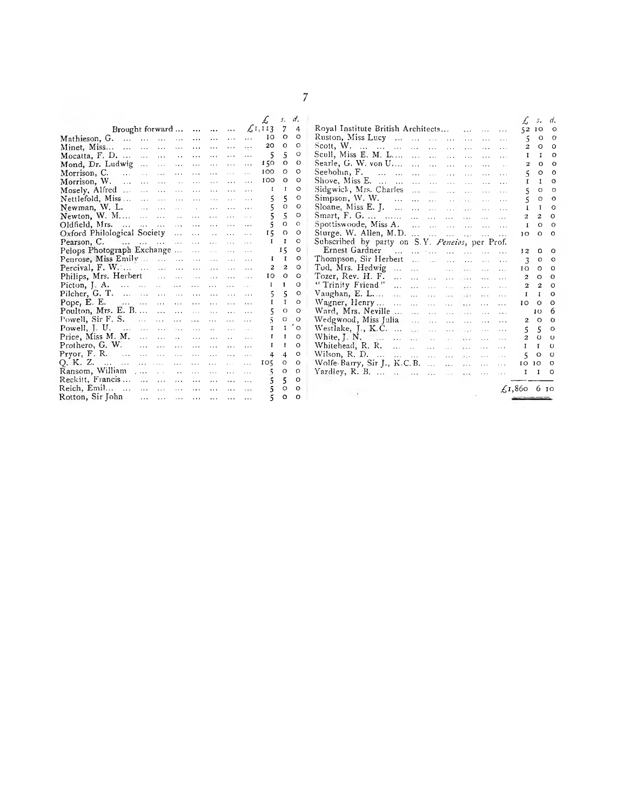|                                                                             |          |                          |                             |                 |                 | s.             | $\boldsymbol{d}$ |                                                              |                 | s. d.               |
|-----------------------------------------------------------------------------|----------|--------------------------|-----------------------------|-----------------|-----------------|----------------|------------------|--------------------------------------------------------------|-----------------|---------------------|
| Brought forward                                                             |          |                          |                             |                 | $\pm 1, 113$    | $\overline{7}$ | 4                | Royal Institute British Architects<br>$\sim 100$<br>$-1.444$ | 52              | 100                 |
| Mathieson, G. $\dots$ $\dots$ $\dots$ $\dots$ $\dots$ $\dots$               |          |                          | $\rightarrow$ $\rightarrow$ | $\ldots$        | 10              | $\circ$        | $\circ$          | Ruston, Miss Lucy<br>$\sim$ 100 $\mu$ 100 $\mu$              |                 | $\circ$<br>$\circ$  |
| Minet, Miss                                                                 |          |                          | $\cdots$                    | $\cdots$        | 20              | $\Omega$       | O                |                                                              |                 | $O$ $O$             |
| Mocatta F. D.                                                               |          |                          |                             | $\sim 100$      | 5               | 5              | O                | Scull, Miss E. M. L                                          |                 | $I$ 0               |
| Mond. Dr. Ludwig $\ldots$ $\ldots$                                          | $\cdots$ | $\sim$ $\sim$ $\sim$     | $\sim$ 100 $\pm$ 100 $\pm$  | $\sim$ . $\sim$ | 150             | $\circ$        | - 0              | Searle, G. W. von U                                          |                 | 0 <sub>0</sub>      |
| Morrison, C. $\ldots$ $\ldots$ $\ldots$ $\ldots$                            |          | $\sim$                   | $\sim$ 100 $\pm$            | $\bar{z}$ .     | 100             | $\circ$        | $\circ$          | Seebohin, F.<br>$\sim$ $\sim$ $\sim$                         |                 | $\circ$<br>$\circ$  |
| Morrison, W. $\ldots$ $\ldots$ $\ldots$ $\ldots$                            |          | <b>Contract</b>          | $\sim$ $\sim$               |                 | 100             | $\circ$        | $\Omega$         | Shove, Miss E.                                               |                 | $\sqrt{2}$          |
| Mosely, Alfred                                                              |          |                          |                             |                 |                 | L              | $\Omega$         | Sidgwick, Mrs. Charles                                       |                 | $\circ$<br>$\Omega$ |
| Nettlefold, Miss                                                            |          | <b>Contract Contract</b> |                             |                 |                 |                | $\circ$          |                                                              |                 | $0 \quad 0$         |
| Newman, W. L.                                                               |          |                          |                             |                 |                 | 0              | $\circ$          | Sloane, Miss E. J.                                           |                 | $\mathbf{I}$ 0      |
| Newton, W. M                                                                |          |                          |                             |                 |                 |                | $\circ$          |                                                              |                 | $2^{\circ}$ 0       |
| Oldfield, Mrs.                                                              |          |                          |                             |                 |                 | O              | $\Omega$         | Spottiswoode, Miss A.                                        | 1               | $0 \quad 0$         |
| Oxford Philological Society                                                 |          | <b>Contract Contract</b> |                             |                 |                 |                | $0 \quad$        | Sturge, W. Allen, M.D.                                       | 10 <sub>o</sub> | $\circ$ $\circ$     |
| Pearson, C.                                                                 |          |                          |                             |                 |                 | $\mathbf{I}$   | $\circ$          | Subscribed by party on S.Y. Peneios, per Prof.               |                 |                     |
| Pelops Photograph Exchange                                                  |          |                          |                             |                 |                 | 15             | $\circ$          | Ernest Gardner                                               | 12              | 0 <sub>0</sub>      |
| Penrose, Miss Emily                                                         |          |                          |                             |                 |                 | $I-I$          | o                | Thompson, Sir Herbert                                        | 3               | $\circ$<br>$\circ$  |
| Percival, F. W.                                                             |          |                          |                             |                 | 2               | $\mathbf{z}$   | $\circ$          | Tod, Mrs. Hedwig<br>the state of the                         | 10 <sub>1</sub> | $\circ$ $\circ$     |
| Philips, Mrs. Herbert                                                       |          |                          |                             |                 | 10 <sub>1</sub> | $\circ$        | $\circ$          | Tozer, Rev. H. F.<br>$\ldots$ .                              | 2               | $O$ $O$             |
| Picton, J. A. $\dots \dots \dots \dots \dots \dots \dots \dots \dots \dots$ |          |                          |                             |                 |                 |                | $\Omega$         | "Trinity Friend"<br>$\sim 100$                               | $\mathbf{2}$    | $2^{\circ}$ O       |
|                                                                             |          |                          |                             |                 |                 | 5              | $\circ$          | Vaughan, E. L                                                |                 | $1 \quad Q$         |
|                                                                             |          |                          |                             |                 |                 | $\mathbf{I}$   | $\circ$          | Wagner, Henry                                                | 10 O            | $\circ$             |
| Poulton, Mrs. E. B.                                                         |          |                          |                             |                 |                 |                | $0 \quad Q$      | Ward, Mrs. Neville                                           |                 | $10\quad 6$         |
| Powell, Sir F. S. (11) $\ldots$ (11) $\ldots$ (11) $\ldots$ (11)            |          |                          |                             |                 |                 | $O$ $O$        |                  | Wedgwood, Miss Julia<br>$\sim$ $\sim$ $\sim$                 | $\mathbf{z}$    | $\circ$ $\circ$     |
| Powell, J. U.                                                               |          |                          |                             |                 |                 |                | $1^{\circ}$ O    | Westlake, J., K.C.                                           |                 | 5<br>$\circ$        |
| Price, Miss M. M.                                                           |          |                          |                             |                 |                 | 1              | $\circ$          |                                                              |                 | 0 <sub>0</sub>      |
| Prothero, G. W.                                                             |          |                          | $\sim$ 100 $\sim$           |                 |                 | H.             | $\Omega$         | Whitehead, R. R.                                             |                 | $\circ$             |
| <b>Pryor, F. R.</b>                                                         |          |                          | contract contract           |                 |                 | $\overline{4}$ | $\circ$          | Wilson, R. D.<br><b>Contract</b>                             |                 | ം<br>$\circ$        |
|                                                                             |          |                          | <b>Contract</b>             | $\ldots$        | IO              | $\circ$        | $\circ$          | Wolfe-Barry, Sir J., K.C.B.                                  | 10 10 0         |                     |
| Ransom, William                                                             |          |                          |                             |                 |                 | 0              | ം                |                                                              |                 | $I$ $I$ 0           |
| Reckitt, Francis                                                            |          |                          |                             |                 |                 | 5.             | o                |                                                              |                 |                     |
| Reich, Emil                                                                 |          |                          | $\cdots$                    |                 |                 | О              | $\circ$          | $f_{1}$ ,860 6 10                                            |                 |                     |
| Rotton, Sir John                                                            |          |                          |                             |                 |                 | $\Omega$       | $\Omega$         |                                                              |                 |                     |